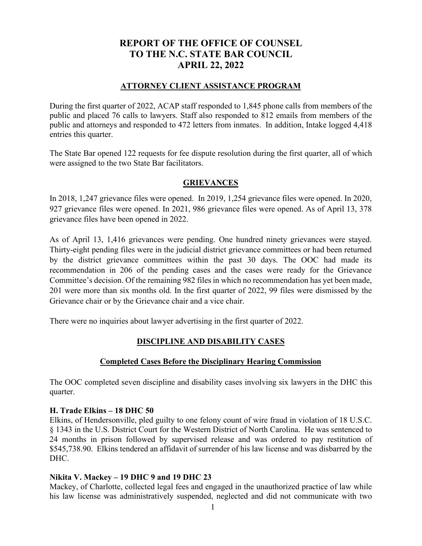# **REPORT OF THE OFFICE OF COUNSEL TO THE N.C. STATE BAR COUNCIL APRIL 22, 2022**

## **ATTORNEY CLIENT ASSISTANCE PROGRAM**

During the first quarter of 2022, ACAP staff responded to 1,845 phone calls from members of the public and placed 76 calls to lawyers. Staff also responded to 812 emails from members of the public and attorneys and responded to 472 letters from inmates. In addition, Intake logged 4,418 entries this quarter.

The State Bar opened 122 requests for fee dispute resolution during the first quarter, all of which were assigned to the two State Bar facilitators.

### **GRIEVANCES**

In 2018, 1,247 grievance files were opened. In 2019, 1,254 grievance files were opened. In 2020, 927 grievance files were opened. In 2021, 986 grievance files were opened. As of April 13, 378 grievance files have been opened in 2022.

As of April 13, 1,416 grievances were pending. One hundred ninety grievances were stayed. Thirty-eight pending files were in the judicial district grievance committees or had been returned by the district grievance committees within the past 30 days. The OOC had made its recommendation in 206 of the pending cases and the cases were ready for the Grievance Committee's decision. Of the remaining 982 files in which no recommendation has yet been made, 201 were more than six months old. In the first quarter of 2022, 99 files were dismissed by the Grievance chair or by the Grievance chair and a vice chair.

There were no inquiries about lawyer advertising in the first quarter of 2022.

# **DISCIPLINE AND DISABILITY CASES**

## **Completed Cases Before the Disciplinary Hearing Commission**

The OOC completed seven discipline and disability cases involving six lawyers in the DHC this quarter.

### **H. Trade Elkins – 18 DHC 50**

Elkins, of Hendersonville, pled guilty to one felony count of wire fraud in violation of 18 U.S.C. § 1343 in the U.S. District Court for the Western District of North Carolina. He was sentenced to 24 months in prison followed by supervised release and was ordered to pay restitution of \$545,738.90. Elkins tendered an affidavit of surrender of his law license and was disbarred by the DHC.

### **Nikita V. Mackey – 19 DHC 9 and 19 DHC 23**

Mackey, of Charlotte, collected legal fees and engaged in the unauthorized practice of law while his law license was administratively suspended, neglected and did not communicate with two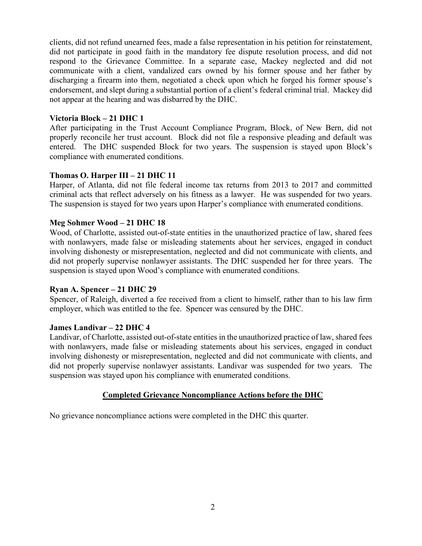clients, did not refund unearned fees, made a false representation in his petition for reinstatement, did not participate in good faith in the mandatory fee dispute resolution process, and did not respond to the Grievance Committee. In a separate case, Mackey neglected and did not communicate with a client, vandalized cars owned by his former spouse and her father by discharging a firearm into them, negotiated a check upon which he forged his former spouse's endorsement, and slept during a substantial portion of a client's federal criminal trial. Mackey did not appear at the hearing and was disbarred by the DHC.

### **Victoria Block – 21 DHC 1**

After participating in the Trust Account Compliance Program, Block, of New Bern, did not properly reconcile her trust account. Block did not file a responsive pleading and default was entered. The DHC suspended Block for two years. The suspension is stayed upon Block's compliance with enumerated conditions.

#### **Thomas O. Harper III – 21 DHC 11**

Harper, of Atlanta, did not file federal income tax returns from 2013 to 2017 and committed criminal acts that reflect adversely on his fitness as a lawyer. He was suspended for two years. The suspension is stayed for two years upon Harper's compliance with enumerated conditions.

#### **Meg Sohmer Wood – 21 DHC 18**

Wood, of Charlotte, assisted out-of-state entities in the unauthorized practice of law, shared fees with nonlawyers, made false or misleading statements about her services, engaged in conduct involving dishonesty or misrepresentation, neglected and did not communicate with clients, and did not properly supervise nonlawyer assistants. The DHC suspended her for three years. The suspension is stayed upon Wood's compliance with enumerated conditions.

#### **Ryan A. Spencer – 21 DHC 29**

Spencer, of Raleigh, diverted a fee received from a client to himself, rather than to his law firm employer, which was entitled to the fee. Spencer was censured by the DHC.

#### **James Landivar – 22 DHC 4**

Landivar, of Charlotte, assisted out-of-state entities in the unauthorized practice of law, shared fees with nonlawyers, made false or misleading statements about his services, engaged in conduct involving dishonesty or misrepresentation, neglected and did not communicate with clients, and did not properly supervise nonlawyer assistants. Landivar was suspended for two years. The suspension was stayed upon his compliance with enumerated conditions.

### **Completed Grievance Noncompliance Actions before the DHC**

No grievance noncompliance actions were completed in the DHC this quarter.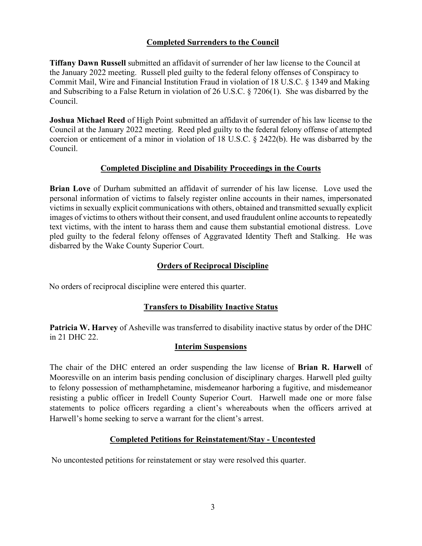## **Completed Surrenders to the Council**

**Tiffany Dawn Russell** submitted an affidavit of surrender of her law license to the Council at the January 2022 meeting. Russell pled guilty to the federal felony offenses of Conspiracy to Commit Mail, Wire and Financial Institution Fraud in violation of 18 U.S.C. § 1349 and Making and Subscribing to a False Return in violation of 26 U.S.C. § 7206(1). She was disbarred by the Council.

**Joshua Michael Reed** of High Point submitted an affidavit of surrender of his law license to the Council at the January 2022 meeting. Reed pled guilty to the federal felony offense of attempted coercion or enticement of a minor in violation of 18 U.S.C. § 2422(b). He was disbarred by the Council.

## **Completed Discipline and Disability Proceedings in the Courts**

**Brian Love** of Durham submitted an affidavit of surrender of his law license. Love used the personal information of victims to falsely register online accounts in their names, impersonated victims in sexually explicit communications with others, obtained and transmitted sexually explicit images of victims to others without their consent, and used fraudulent online accounts to repeatedly text victims, with the intent to harass them and cause them substantial emotional distress. Love pled guilty to the federal felony offenses of Aggravated Identity Theft and Stalking. He was disbarred by the Wake County Superior Court.

## **Orders of Reciprocal Discipline**

No orders of reciprocal discipline were entered this quarter.

## **Transfers to Disability Inactive Status**

**Patricia W. Harvey** of Asheville was transferred to disability inactive status by order of the DHC in 21 DHC 22.

## **Interim Suspensions**

The chair of the DHC entered an order suspending the law license of **Brian R. Harwell** of Mooresville on an interim basis pending conclusion of disciplinary charges. Harwell pled guilty to felony possession of methamphetamine, misdemeanor harboring a fugitive, and misdemeanor resisting a public officer in Iredell County Superior Court. Harwell made one or more false statements to police officers regarding a client's whereabouts when the officers arrived at Harwell's home seeking to serve a warrant for the client's arrest.

# **Completed Petitions for Reinstatement/Stay - Uncontested**

No uncontested petitions for reinstatement or stay were resolved this quarter.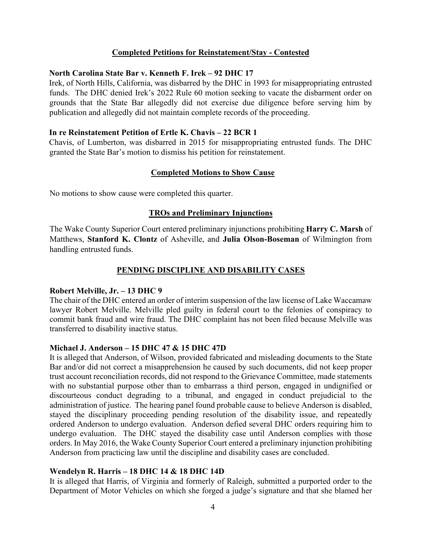#### **Completed Petitions for Reinstatement/Stay - Contested**

#### **North Carolina State Bar v. Kenneth F. Irek – 92 DHC 17**

Irek, of North Hills, California, was disbarred by the DHC in 1993 for misappropriating entrusted funds. The DHC denied Irek's 2022 Rule 60 motion seeking to vacate the disbarment order on grounds that the State Bar allegedly did not exercise due diligence before serving him by publication and allegedly did not maintain complete records of the proceeding.

#### **In re Reinstatement Petition of Ertle K. Chavis – 22 BCR 1**

Chavis, of Lumberton, was disbarred in 2015 for misappropriating entrusted funds. The DHC granted the State Bar's motion to dismiss his petition for reinstatement.

#### **Completed Motions to Show Cause**

No motions to show cause were completed this quarter.

#### **TROs and Preliminary Injunctions**

The Wake County Superior Court entered preliminary injunctions prohibiting **Harry C. Marsh** of Matthews, **Stanford K. Clontz** of Asheville, and **Julia Olson-Boseman** of Wilmington from handling entrusted funds.

#### **PENDING DISCIPLINE AND DISABILITY CASES**

#### **Robert Melville, Jr. – 13 DHC 9**

The chair of the DHC entered an order of interim suspension of the law license of Lake Waccamaw lawyer Robert Melville. Melville pled guilty in federal court to the felonies of conspiracy to commit bank fraud and wire fraud. The DHC complaint has not been filed because Melville was transferred to disability inactive status.

#### **Michael J. Anderson – 15 DHC 47 & 15 DHC 47D**

It is alleged that Anderson, of Wilson, provided fabricated and misleading documents to the State Bar and/or did not correct a misapprehension he caused by such documents, did not keep proper trust account reconciliation records, did not respond to the Grievance Committee, made statements with no substantial purpose other than to embarrass a third person, engaged in undignified or discourteous conduct degrading to a tribunal, and engaged in conduct prejudicial to the administration of justice. The hearing panel found probable cause to believe Anderson is disabled, stayed the disciplinary proceeding pending resolution of the disability issue, and repeatedly ordered Anderson to undergo evaluation. Anderson defied several DHC orders requiring him to undergo evaluation. The DHC stayed the disability case until Anderson complies with those orders. In May 2016, the Wake County Superior Court entered a preliminary injunction prohibiting Anderson from practicing law until the discipline and disability cases are concluded.

#### **Wendelyn R. Harris – 18 DHC 14 & 18 DHC 14D**

It is alleged that Harris, of Virginia and formerly of Raleigh, submitted a purported order to the Department of Motor Vehicles on which she forged a judge's signature and that she blamed her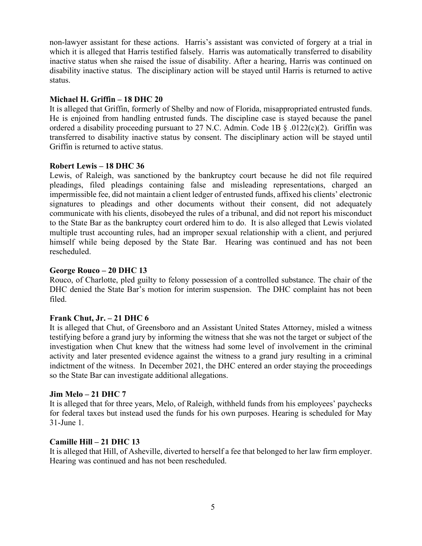non-lawyer assistant for these actions. Harris's assistant was convicted of forgery at a trial in which it is alleged that Harris testified falsely. Harris was automatically transferred to disability inactive status when she raised the issue of disability. After a hearing, Harris was continued on disability inactive status. The disciplinary action will be stayed until Harris is returned to active status.

### **Michael H. Griffin – 18 DHC 20**

It is alleged that Griffin, formerly of Shelby and now of Florida, misappropriated entrusted funds. He is enjoined from handling entrusted funds. The discipline case is stayed because the panel ordered a disability proceeding pursuant to 27 N.C. Admin. Code 1B § .0122(c)(2). Griffin was transferred to disability inactive status by consent. The disciplinary action will be stayed until Griffin is returned to active status.

### **Robert Lewis – 18 DHC 36**

Lewis, of Raleigh, was sanctioned by the bankruptcy court because he did not file required pleadings, filed pleadings containing false and misleading representations, charged an impermissible fee, did not maintain a client ledger of entrusted funds, affixed his clients' electronic signatures to pleadings and other documents without their consent, did not adequately communicate with his clients, disobeyed the rules of a tribunal, and did not report his misconduct to the State Bar as the bankruptcy court ordered him to do. It is also alleged that Lewis violated multiple trust accounting rules, had an improper sexual relationship with a client, and perjured himself while being deposed by the State Bar. Hearing was continued and has not been rescheduled.

### **George Rouco – 20 DHC 13**

Rouco, of Charlotte, pled guilty to felony possession of a controlled substance. The chair of the DHC denied the State Bar's motion for interim suspension. The DHC complaint has not been filed.

### **Frank Chut, Jr. – 21 DHC 6**

It is alleged that Chut, of Greensboro and an Assistant United States Attorney, misled a witness testifying before a grand jury by informing the witness that she was not the target or subject of the investigation when Chut knew that the witness had some level of involvement in the criminal activity and later presented evidence against the witness to a grand jury resulting in a criminal indictment of the witness. In December 2021, the DHC entered an order staying the proceedings so the State Bar can investigate additional allegations.

#### **Jim Melo – 21 DHC 7**

It is alleged that for three years, Melo, of Raleigh, withheld funds from his employees' paychecks for federal taxes but instead used the funds for his own purposes. Hearing is scheduled for May 31-June 1.

### **Camille Hill – 21 DHC 13**

It is alleged that Hill, of Asheville, diverted to herself a fee that belonged to her law firm employer. Hearing was continued and has not been rescheduled.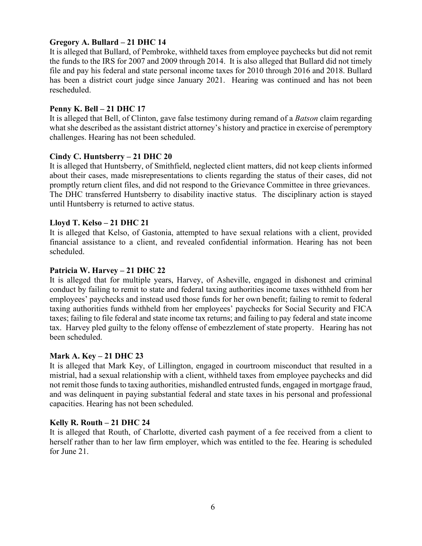### **Gregory A. Bullard – 21 DHC 14**

It is alleged that Bullard, of Pembroke, withheld taxes from employee paychecks but did not remit the funds to the IRS for 2007 and 2009 through 2014. It is also alleged that Bullard did not timely file and pay his federal and state personal income taxes for 2010 through 2016 and 2018. Bullard has been a district court judge since January 2021. Hearing was continued and has not been rescheduled.

### **Penny K. Bell – 21 DHC 17**

It is alleged that Bell, of Clinton, gave false testimony during remand of a *Batson* claim regarding what she described as the assistant district attorney's history and practice in exercise of peremptory challenges. Hearing has not been scheduled.

### **Cindy C. Huntsberry – 21 DHC 20**

It is alleged that Huntsberry, of Smithfield, neglected client matters, did not keep clients informed about their cases, made misrepresentations to clients regarding the status of their cases, did not promptly return client files, and did not respond to the Grievance Committee in three grievances. The DHC transferred Huntsberry to disability inactive status. The disciplinary action is stayed until Huntsberry is returned to active status.

### **Lloyd T. Kelso – 21 DHC 21**

It is alleged that Kelso, of Gastonia, attempted to have sexual relations with a client, provided financial assistance to a client, and revealed confidential information. Hearing has not been scheduled.

### **Patricia W. Harvey – 21 DHC 22**

It is alleged that for multiple years, Harvey, of Asheville, engaged in dishonest and criminal conduct by failing to remit to state and federal taxing authorities income taxes withheld from her employees' paychecks and instead used those funds for her own benefit; failing to remit to federal taxing authorities funds withheld from her employees' paychecks for Social Security and FICA taxes; failing to file federal and state income tax returns; and failing to pay federal and state income tax. Harvey pled guilty to the felony offense of embezzlement of state property. Hearing has not been scheduled.

#### **Mark A. Key – 21 DHC 23**

It is alleged that Mark Key, of Lillington, engaged in courtroom misconduct that resulted in a mistrial, had a sexual relationship with a client, withheld taxes from employee paychecks and did not remit those funds to taxing authorities, mishandled entrusted funds, engaged in mortgage fraud, and was delinquent in paying substantial federal and state taxes in his personal and professional capacities. Hearing has not been scheduled.

### **Kelly R. Routh – 21 DHC 24**

It is alleged that Routh, of Charlotte, diverted cash payment of a fee received from a client to herself rather than to her law firm employer, which was entitled to the fee. Hearing is scheduled for June 21.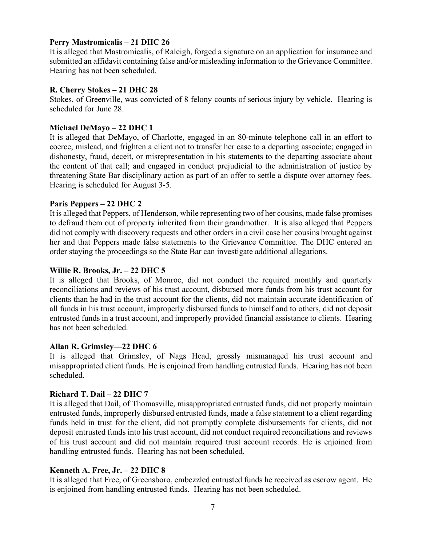### **Perry Mastromicalis – 21 DHC 26**

It is alleged that Mastromicalis, of Raleigh, forged a signature on an application for insurance and submitted an affidavit containing false and/or misleading information to the Grievance Committee. Hearing has not been scheduled.

#### **R. Cherry Stokes – 21 DHC 28**

Stokes, of Greenville, was convicted of 8 felony counts of serious injury by vehicle. Hearing is scheduled for June 28.

### **Michael DeMayo – 22 DHC 1**

It is alleged that DeMayo, of Charlotte, engaged in an 80-minute telephone call in an effort to coerce, mislead, and frighten a client not to transfer her case to a departing associate; engaged in dishonesty, fraud, deceit, or misrepresentation in his statements to the departing associate about the content of that call; and engaged in conduct prejudicial to the administration of justice by threatening State Bar disciplinary action as part of an offer to settle a dispute over attorney fees. Hearing is scheduled for August 3-5.

#### **Paris Peppers – 22 DHC 2**

It is alleged that Peppers, of Henderson, while representing two of her cousins, made false promises to defraud them out of property inherited from their grandmother. It is also alleged that Peppers did not comply with discovery requests and other orders in a civil case her cousins brought against her and that Peppers made false statements to the Grievance Committee. The DHC entered an order staying the proceedings so the State Bar can investigate additional allegations.

### **Willie R. Brooks, Jr. – 22 DHC 5**

It is alleged that Brooks, of Monroe, did not conduct the required monthly and quarterly reconciliations and reviews of his trust account, disbursed more funds from his trust account for clients than he had in the trust account for the clients, did not maintain accurate identification of all funds in his trust account, improperly disbursed funds to himself and to others, did not deposit entrusted funds in a trust account, and improperly provided financial assistance to clients. Hearing has not been scheduled.

### **Allan R. Grimsley—22 DHC 6**

It is alleged that Grimsley, of Nags Head, grossly mismanaged his trust account and misappropriated client funds. He is enjoined from handling entrusted funds. Hearing has not been scheduled.

### **Richard T. Dail – 22 DHC 7**

It is alleged that Dail, of Thomasville, misappropriated entrusted funds, did not properly maintain entrusted funds, improperly disbursed entrusted funds, made a false statement to a client regarding funds held in trust for the client, did not promptly complete disbursements for clients, did not deposit entrusted funds into his trust account, did not conduct required reconciliations and reviews of his trust account and did not maintain required trust account records. He is enjoined from handling entrusted funds. Hearing has not been scheduled.

### **Kenneth A. Free, Jr. – 22 DHC 8**

It is alleged that Free, of Greensboro, embezzled entrusted funds he received as escrow agent. He is enjoined from handling entrusted funds. Hearing has not been scheduled.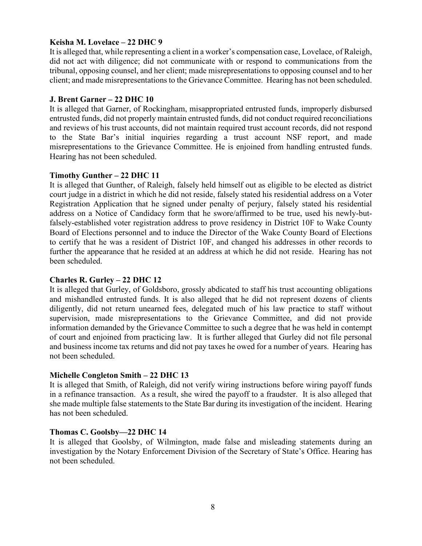### **Keisha M. Lovelace – 22 DHC 9**

It is alleged that, while representing a client in a worker's compensation case, Lovelace, of Raleigh, did not act with diligence; did not communicate with or respond to communications from the tribunal, opposing counsel, and her client; made misrepresentations to opposing counsel and to her client; and made misrepresentations to the Grievance Committee. Hearing has not been scheduled.

### **J. Brent Garner – 22 DHC 10**

It is alleged that Garner, of Rockingham, misappropriated entrusted funds, improperly disbursed entrusted funds, did not properly maintain entrusted funds, did not conduct required reconciliations and reviews of his trust accounts, did not maintain required trust account records, did not respond to the State Bar's initial inquiries regarding a trust account NSF report, and made misrepresentations to the Grievance Committee. He is enjoined from handling entrusted funds. Hearing has not been scheduled.

### **Timothy Gunther – 22 DHC 11**

It is alleged that Gunther, of Raleigh, falsely held himself out as eligible to be elected as district court judge in a district in which he did not reside, falsely stated his residential address on a Voter Registration Application that he signed under penalty of perjury, falsely stated his residential address on a Notice of Candidacy form that he swore/affirmed to be true, used his newly-butfalsely-established voter registration address to prove residency in District 10F to Wake County Board of Elections personnel and to induce the Director of the Wake County Board of Elections to certify that he was a resident of District 10F, and changed his addresses in other records to further the appearance that he resided at an address at which he did not reside. Hearing has not been scheduled.

### **Charles R. Gurley – 22 DHC 12**

It is alleged that Gurley, of Goldsboro, grossly abdicated to staff his trust accounting obligations and mishandled entrusted funds. It is also alleged that he did not represent dozens of clients diligently, did not return unearned fees, delegated much of his law practice to staff without supervision, made misrepresentations to the Grievance Committee, and did not provide information demanded by the Grievance Committee to such a degree that he was held in contempt of court and enjoined from practicing law. It is further alleged that Gurley did not file personal and business income tax returns and did not pay taxes he owed for a number of years. Hearing has not been scheduled.

## **Michelle Congleton Smith – 22 DHC 13**

It is alleged that Smith, of Raleigh, did not verify wiring instructions before wiring payoff funds in a refinance transaction. As a result, she wired the payoff to a fraudster. It is also alleged that she made multiple false statements to the State Bar during its investigation of the incident. Hearing has not been scheduled.

### **Thomas C. Goolsby—22 DHC 14**

It is alleged that Goolsby, of Wilmington, made false and misleading statements during an investigation by the Notary Enforcement Division of the Secretary of State's Office. Hearing has not been scheduled.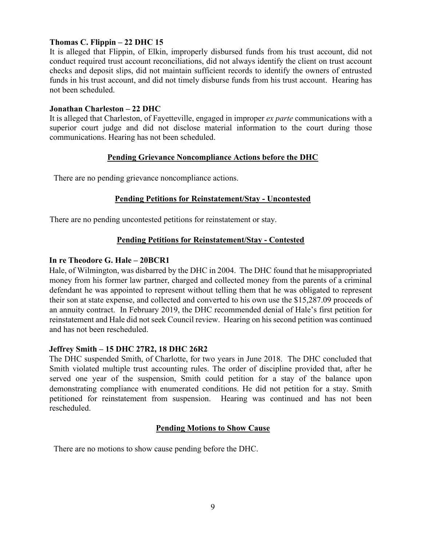## **Thomas C. Flippin – 22 DHC 15**

It is alleged that Flippin, of Elkin, improperly disbursed funds from his trust account, did not conduct required trust account reconciliations, did not always identify the client on trust account checks and deposit slips, did not maintain sufficient records to identify the owners of entrusted funds in his trust account, and did not timely disburse funds from his trust account. Hearing has not been scheduled.

### **Jonathan Charleston – 22 DHC**

It is alleged that Charleston, of Fayetteville, engaged in improper *ex parte* communications with a superior court judge and did not disclose material information to the court during those communications. Hearing has not been scheduled.

## **Pending Grievance Noncompliance Actions before the DHC**

There are no pending grievance noncompliance actions.

## **Pending Petitions for Reinstatement/Stay - Uncontested**

There are no pending uncontested petitions for reinstatement or stay.

## **Pending Petitions for Reinstatement/Stay - Contested**

### **In re Theodore G. Hale – 20BCR1**

Hale, of Wilmington, was disbarred by the DHC in 2004. The DHC found that he misappropriated money from his former law partner, charged and collected money from the parents of a criminal defendant he was appointed to represent without telling them that he was obligated to represent their son at state expense, and collected and converted to his own use the \$15,287.09 proceeds of an annuity contract. In February 2019, the DHC recommended denial of Hale's first petition for reinstatement and Hale did not seek Council review. Hearing on his second petition was continued and has not been rescheduled.

## **Jeffrey Smith – 15 DHC 27R2, 18 DHC 26R2**

The DHC suspended Smith, of Charlotte, for two years in June 2018. The DHC concluded that Smith violated multiple trust accounting rules. The order of discipline provided that, after he served one year of the suspension, Smith could petition for a stay of the balance upon demonstrating compliance with enumerated conditions. He did not petition for a stay. Smith petitioned for reinstatement from suspension. Hearing was continued and has not been rescheduled.

## **Pending Motions to Show Cause**

There are no motions to show cause pending before the DHC.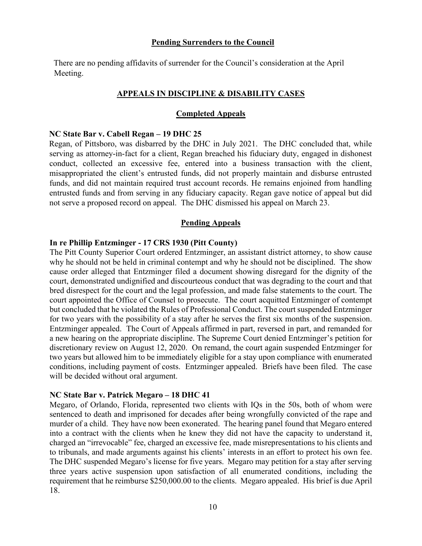#### **Pending Surrenders to the Council**

There are no pending affidavits of surrender for the Council's consideration at the April Meeting.

### **APPEALS IN DISCIPLINE & DISABILITY CASES**

### **Completed Appeals**

#### **NC State Bar v. Cabell Regan – 19 DHC 25**

Regan, of Pittsboro, was disbarred by the DHC in July 2021. The DHC concluded that, while serving as attorney-in-fact for a client, Regan breached his fiduciary duty, engaged in dishonest conduct, collected an excessive fee, entered into a business transaction with the client, misappropriated the client's entrusted funds, did not properly maintain and disburse entrusted funds, and did not maintain required trust account records. He remains enjoined from handling entrusted funds and from serving in any fiduciary capacity. Regan gave notice of appeal but did not serve a proposed record on appeal. The DHC dismissed his appeal on March 23.

### **Pending Appeals**

#### **In re Phillip Entzminger - 17 CRS 1930 (Pitt County)**

The Pitt County Superior Court ordered Entzminger, an assistant district attorney, to show cause why he should not be held in criminal contempt and why he should not be disciplined. The show cause order alleged that Entzminger filed a document showing disregard for the dignity of the court, demonstrated undignified and discourteous conduct that was degrading to the court and that bred disrespect for the court and the legal profession, and made false statements to the court. The court appointed the Office of Counsel to prosecute. The court acquitted Entzminger of contempt but concluded that he violated the Rules of Professional Conduct. The court suspended Entzminger for two years with the possibility of a stay after he serves the first six months of the suspension. Entzminger appealed. The Court of Appeals affirmed in part, reversed in part, and remanded for a new hearing on the appropriate discipline. The Supreme Court denied Entzminger's petition for discretionary review on August 12, 2020. On remand, the court again suspended Entzminger for two years but allowed him to be immediately eligible for a stay upon compliance with enumerated conditions, including payment of costs. Entzminger appealed. Briefs have been filed. The case will be decided without oral argument.

#### **NC State Bar v. Patrick Megaro – 18 DHC 41**

Megaro, of Orlando, Florida, represented two clients with IQs in the 50s, both of whom were sentenced to death and imprisoned for decades after being wrongfully convicted of the rape and murder of a child. They have now been exonerated. The hearing panel found that Megaro entered into a contract with the clients when he knew they did not have the capacity to understand it, charged an "irrevocable" fee, charged an excessive fee, made misrepresentations to his clients and to tribunals, and made arguments against his clients' interests in an effort to protect his own fee. The DHC suspended Megaro's license for five years. Megaro may petition for a stay after serving three years active suspension upon satisfaction of all enumerated conditions, including the requirement that he reimburse \$250,000.00 to the clients. Megaro appealed. His brief is due April 18.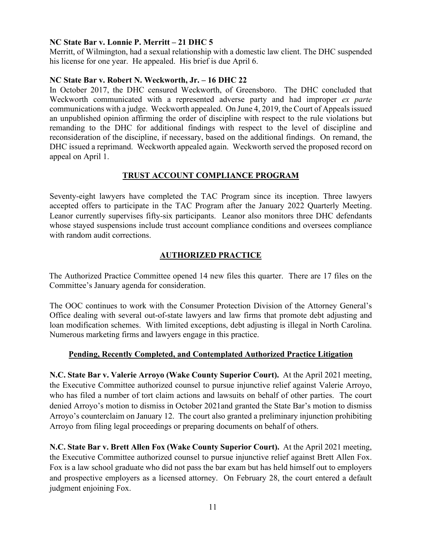### **NC State Bar v. Lonnie P. Merritt – 21 DHC 5**

Merritt, of Wilmington, had a sexual relationship with a domestic law client. The DHC suspended his license for one year. He appealed. His brief is due April 6.

### **NC State Bar v. Robert N. Weckworth, Jr. – 16 DHC 22**

In October 2017, the DHC censured Weckworth, of Greensboro. The DHC concluded that Weckworth communicated with a represented adverse party and had improper *ex parte* communications with a judge. Weckworth appealed. On June 4, 2019, the Court of Appeals issued an unpublished opinion affirming the order of discipline with respect to the rule violations but remanding to the DHC for additional findings with respect to the level of discipline and reconsideration of the discipline, if necessary, based on the additional findings. On remand, the DHC issued a reprimand. Weckworth appealed again. Weckworth served the proposed record on appeal on April 1.

### **TRUST ACCOUNT COMPLIANCE PROGRAM**

Seventy-eight lawyers have completed the TAC Program since its inception. Three lawyers accepted offers to participate in the TAC Program after the January 2022 Quarterly Meeting. Leanor currently supervises fifty-six participants. Leanor also monitors three DHC defendants whose stayed suspensions include trust account compliance conditions and oversees compliance with random audit corrections.

## **AUTHORIZED PRACTICE**

The Authorized Practice Committee opened 14 new files this quarter. There are 17 files on the Committee's January agenda for consideration.

The OOC continues to work with the Consumer Protection Division of the Attorney General's Office dealing with several out-of-state lawyers and law firms that promote debt adjusting and loan modification schemes. With limited exceptions, debt adjusting is illegal in North Carolina. Numerous marketing firms and lawyers engage in this practice.

## **Pending, Recently Completed, and Contemplated Authorized Practice Litigation**

**N.C. State Bar v. Valerie Arroyo (Wake County Superior Court).** At the April 2021 meeting, the Executive Committee authorized counsel to pursue injunctive relief against Valerie Arroyo, who has filed a number of tort claim actions and lawsuits on behalf of other parties. The court denied Arroyo's motion to dismiss in October 2021and granted the State Bar's motion to dismiss Arroyo's counterclaim on January 12. The court also granted a preliminary injunction prohibiting Arroyo from filing legal proceedings or preparing documents on behalf of others.

**N.C. State Bar v. Brett Allen Fox (Wake County Superior Court).** At the April 2021 meeting, the Executive Committee authorized counsel to pursue injunctive relief against Brett Allen Fox. Fox is a law school graduate who did not pass the bar exam but has held himself out to employers and prospective employers as a licensed attorney. On February 28, the court entered a default judgment enjoining Fox.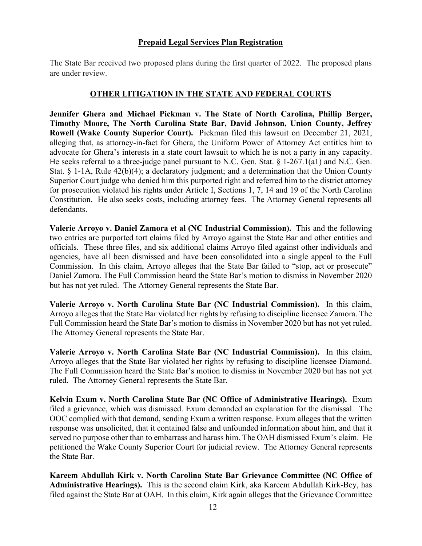### **Prepaid Legal Services Plan Registration**

The State Bar received two proposed plans during the first quarter of 2022. The proposed plans are under review.

### **OTHER LITIGATION IN THE STATE AND FEDERAL COURTS**

**Jennifer Ghera and Michael Pickman v. The State of North Carolina, Phillip Berger, Timothy Moore, The North Carolina State Bar, David Johnson, Union County, Jeffrey Rowell (Wake County Superior Court).** Pickman filed this lawsuit on December 21, 2021, alleging that, as attorney-in-fact for Ghera, the Uniform Power of Attorney Act entitles him to advocate for Ghera's interests in a state court lawsuit to which he is not a party in any capacity. He seeks referral to a three-judge panel pursuant to N.C. Gen. Stat. § 1-267.1(a1) and N.C. Gen. Stat.  $\S$  1-1A, Rule 42(b)(4); a declaratory judgment; and a determination that the Union County Superior Court judge who denied him this purported right and referred him to the district attorney for prosecution violated his rights under Article I, Sections 1, 7, 14 and 19 of the North Carolina Constitution. He also seeks costs, including attorney fees. The Attorney General represents all defendants.

**Valerie Arroyo v. Daniel Zamora et al (NC Industrial Commission).** This and the following two entries are purported tort claims filed by Arroyo against the State Bar and other entities and officials. These three files, and six additional claims Arroyo filed against other individuals and agencies, have all been dismissed and have been consolidated into a single appeal to the Full Commission. In this claim, Arroyo alleges that the State Bar failed to "stop, act or prosecute" Daniel Zamora. The Full Commission heard the State Bar's motion to dismiss in November 2020 but has not yet ruled. The Attorney General represents the State Bar.

**Valerie Arroyo v. North Carolina State Bar (NC Industrial Commission).** In this claim, Arroyo alleges that the State Bar violated her rights by refusing to discipline licensee Zamora. The Full Commission heard the State Bar's motion to dismiss in November 2020 but has not yet ruled. The Attorney General represents the State Bar.

**Valerie Arroyo v. North Carolina State Bar (NC Industrial Commission).** In this claim, Arroyo alleges that the State Bar violated her rights by refusing to discipline licensee Diamond. The Full Commission heard the State Bar's motion to dismiss in November 2020 but has not yet ruled. The Attorney General represents the State Bar.

**Kelvin Exum v. North Carolina State Bar (NC Office of Administrative Hearings).** Exum filed a grievance, which was dismissed. Exum demanded an explanation for the dismissal. The OOC complied with that demand, sending Exum a written response. Exum alleges that the written response was unsolicited, that it contained false and unfounded information about him, and that it served no purpose other than to embarrass and harass him. The OAH dismissed Exum's claim. He petitioned the Wake County Superior Court for judicial review. The Attorney General represents the State Bar.

**Kareem Abdullah Kirk v. North Carolina State Bar Grievance Committee (NC Office of Administrative Hearings).** This is the second claim Kirk, aka Kareem Abdullah Kirk-Bey, has filed against the State Bar at OAH. In this claim, Kirk again alleges that the Grievance Committee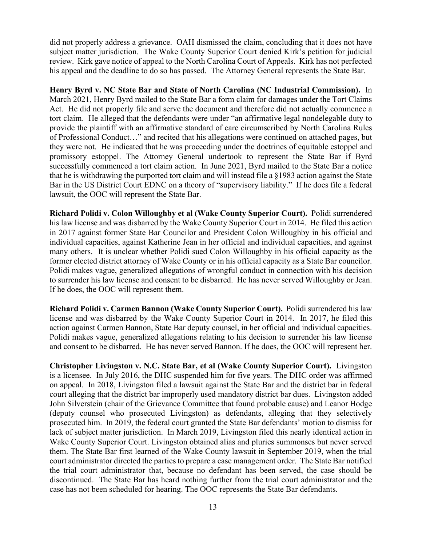did not properly address a grievance. OAH dismissed the claim, concluding that it does not have subject matter jurisdiction. The Wake County Superior Court denied Kirk's petition for judicial review. Kirk gave notice of appeal to the North Carolina Court of Appeals. Kirk has not perfected his appeal and the deadline to do so has passed. The Attorney General represents the State Bar.

**Henry Byrd v. NC State Bar and State of North Carolina (NC Industrial Commission).** In March 2021, Henry Byrd mailed to the State Bar a form claim for damages under the Tort Claims Act. He did not properly file and serve the document and therefore did not actually commence a tort claim. He alleged that the defendants were under "an affirmative legal nondelegable duty to provide the plaintiff with an affirmative standard of care circumscribed by North Carolina Rules of Professional Conduct…" and recited that his allegations were continued on attached pages, but they were not. He indicated that he was proceeding under the doctrines of equitable estoppel and promissory estoppel. The Attorney General undertook to represent the State Bar if Byrd successfully commenced a tort claim action. In June 2021, Byrd mailed to the State Bar a notice that he is withdrawing the purported tort claim and will instead file a §1983 action against the State Bar in the US District Court EDNC on a theory of "supervisory liability." If he does file a federal lawsuit, the OOC will represent the State Bar.

**Richard Polidi v. Colon Willoughby et al (Wake County Superior Court).** Polidi surrendered his law license and was disbarred by the Wake County Superior Court in 2014. He filed this action in 2017 against former State Bar Councilor and President Colon Willoughby in his official and individual capacities, against Katherine Jean in her official and individual capacities, and against many others. It is unclear whether Polidi sued Colon Willoughby in his official capacity as the former elected district attorney of Wake County or in his official capacity as a State Bar councilor. Polidi makes vague, generalized allegations of wrongful conduct in connection with his decision to surrender his law license and consent to be disbarred. He has never served Willoughby or Jean. If he does, the OOC will represent them.

**Richard Polidi v. Carmen Bannon (Wake County Superior Court).** Polidi surrendered his law license and was disbarred by the Wake County Superior Court in 2014. In 2017, he filed this action against Carmen Bannon, State Bar deputy counsel, in her official and individual capacities. Polidi makes vague, generalized allegations relating to his decision to surrender his law license and consent to be disbarred. He has never served Bannon. If he does, the OOC will represent her.

**Christopher Livingston v. N.C. State Bar, et al (Wake County Superior Court).** Livingston is a licensee. In July 2016, the DHC suspended him for five years. The DHC order was affirmed on appeal. In 2018, Livingston filed a lawsuit against the State Bar and the district bar in federal court alleging that the district bar improperly used mandatory district bar dues. Livingston added John Silverstein (chair of the Grievance Committee that found probable cause) and Leanor Hodge (deputy counsel who prosecuted Livingston) as defendants, alleging that they selectively prosecuted him. In 2019, the federal court granted the State Bar defendants' motion to dismiss for lack of subject matter jurisdiction. In March 2019, Livingston filed this nearly identical action in Wake County Superior Court. Livingston obtained alias and pluries summonses but never served them. The State Bar first learned of the Wake County lawsuit in September 2019, when the trial court administrator directed the parties to prepare a case management order. The State Bar notified the trial court administrator that, because no defendant has been served, the case should be discontinued. The State Bar has heard nothing further from the trial court administrator and the case has not been scheduled for hearing. The OOC represents the State Bar defendants.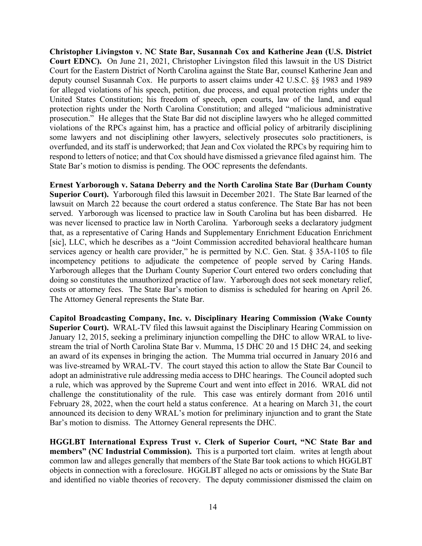**Christopher Livingston v. NC State Bar, Susannah Cox and Katherine Jean (U.S. District Court EDNC).** On June 21, 2021, Christopher Livingston filed this lawsuit in the US District Court for the Eastern District of North Carolina against the State Bar, counsel Katherine Jean and deputy counsel Susannah Cox. He purports to assert claims under 42 U.S.C. §§ 1983 and 1989 for alleged violations of his speech, petition, due process, and equal protection rights under the United States Constitution; his freedom of speech, open courts, law of the land, and equal protection rights under the North Carolina Constitution; and alleged "malicious administrative prosecution." He alleges that the State Bar did not discipline lawyers who he alleged committed violations of the RPCs against him, has a practice and official policy of arbitrarily disciplining some lawyers and not disciplining other lawyers, selectively prosecutes solo practitioners, is overfunded, and its staff is underworked; that Jean and Cox violated the RPCs by requiring him to respond to letters of notice; and that Cox should have dismissed a grievance filed against him. The State Bar's motion to dismiss is pending. The OOC represents the defendants.

**Ernest Yarborough v. Satana Deberry and the North Carolina State Bar (Durham County Superior Court).** Yarborough filed this lawsuit in December 2021. The State Bar learned of the lawsuit on March 22 because the court ordered a status conference. The State Bar has not been served. Yarborough was licensed to practice law in South Carolina but has been disbarred. He was never licensed to practice law in North Carolina. Yarborough seeks a declaratory judgment that, as a representative of Caring Hands and Supplementary Enrichment Education Enrichment [sic], LLC, which he describes as a "Joint Commission accredited behavioral healthcare human services agency or health care provider," he is permitted by N.C. Gen. Stat. § 35A-1105 to file incompetency petitions to adjudicate the competence of people served by Caring Hands. Yarborough alleges that the Durham County Superior Court entered two orders concluding that doing so constitutes the unauthorized practice of law. Yarborough does not seek monetary relief, costs or attorney fees. The State Bar's motion to dismiss is scheduled for hearing on April 26. The Attorney General represents the State Bar.

**Capitol Broadcasting Company, Inc. v. Disciplinary Hearing Commission (Wake County Superior Court).** WRAL-TV filed this lawsuit against the Disciplinary Hearing Commission on January 12, 2015, seeking a preliminary injunction compelling the DHC to allow WRAL to livestream the trial of North Carolina State Bar v. Mumma, 15 DHC 20 and 15 DHC 24, and seeking an award of its expenses in bringing the action. The Mumma trial occurred in January 2016 and was live-streamed by WRAL-TV. The court stayed this action to allow the State Bar Council to adopt an administrative rule addressing media access to DHC hearings. The Council adopted such a rule, which was approved by the Supreme Court and went into effect in 2016. WRAL did not challenge the constitutionality of the rule. This case was entirely dormant from 2016 until February 28, 2022, when the court held a status conference. At a hearing on March 31, the court announced its decision to deny WRAL's motion for preliminary injunction and to grant the State Bar's motion to dismiss. The Attorney General represents the DHC.

**HGGLBT International Express Trust v. Clerk of Superior Court, "NC State Bar and members" (NC Industrial Commission).** This is a purported tort claim. writes at length about common law and alleges generally that members of the State Bar took actions to which HGGLBT objects in connection with a foreclosure. HGGLBT alleged no acts or omissions by the State Bar and identified no viable theories of recovery. The deputy commissioner dismissed the claim on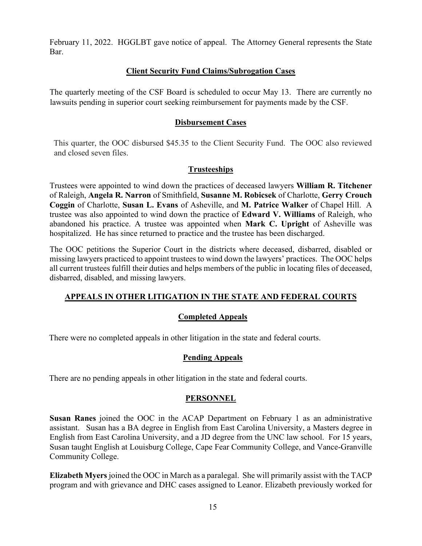February 11, 2022. HGGLBT gave notice of appeal. The Attorney General represents the State Bar.

### **Client Security Fund Claims/Subrogation Cases**

The quarterly meeting of the CSF Board is scheduled to occur May 13. There are currently no lawsuits pending in superior court seeking reimbursement for payments made by the CSF.

### **Disbursement Cases**

This quarter, the OOC disbursed \$45.35 to the Client Security Fund. The OOC also reviewed and closed seven files.

## **Trusteeships**

Trustees were appointed to wind down the practices of deceased lawyers **William R. Titchener** of Raleigh, **Angela R. Narron** of Smithfield, **Susanne M. Robicsek** of Charlotte, **Gerry Crouch Coggin** of Charlotte, **Susan L. Evans** of Asheville, and **M. Patrice Walker** of Chapel Hill. A trustee was also appointed to wind down the practice of **Edward V. Williams** of Raleigh, who abandoned his practice. A trustee was appointed when **Mark C. Upright** of Asheville was hospitalized. He has since returned to practice and the trustee has been discharged.

The OOC petitions the Superior Court in the districts where deceased, disbarred, disabled or missing lawyers practiced to appoint trustees to wind down the lawyers' practices. The OOC helps all current trustees fulfill their duties and helps members of the public in locating files of deceased, disbarred, disabled, and missing lawyers.

## **APPEALS IN OTHER LITIGATION IN THE STATE AND FEDERAL COURTS**

### **Completed Appeals**

There were no completed appeals in other litigation in the state and federal courts.

### **Pending Appeals**

There are no pending appeals in other litigation in the state and federal courts.

### **PERSONNEL**

**Susan Ranes** joined the OOC in the ACAP Department on February 1 as an administrative assistant. Susan has a BA degree in English from East Carolina University, a Masters degree in English from East Carolina University, and a JD degree from the UNC law school. For 15 years, Susan taught English at Louisburg College, Cape Fear Community College, and Vance-Granville Community College.

**Elizabeth Myers** joined the OOC in March as a paralegal. She will primarily assist with the TACP program and with grievance and DHC cases assigned to Leanor. Elizabeth previously worked for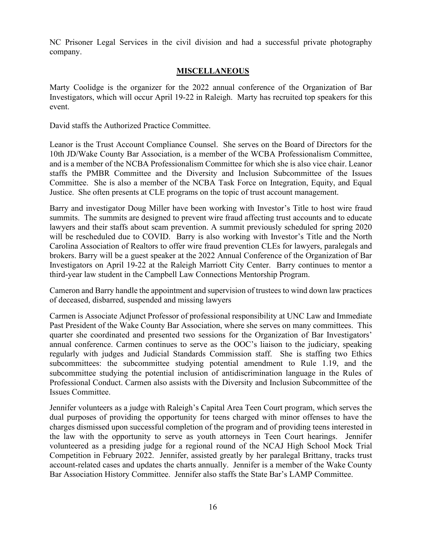NC Prisoner Legal Services in the civil division and had a successful private photography company.

### **MISCELLANEOUS**

Marty Coolidge is the organizer for the 2022 annual conference of the Organization of Bar Investigators, which will occur April 19-22 in Raleigh. Marty has recruited top speakers for this event.

David staffs the Authorized Practice Committee.

Leanor is the Trust Account Compliance Counsel. She serves on the Board of Directors for the 10th JD/Wake County Bar Association, is a member of the WCBA Professionalism Committee, and is a member of the NCBA Professionalism Committee for which she is also vice chair. Leanor staffs the PMBR Committee and the Diversity and Inclusion Subcommittee of the Issues Committee. She is also a member of the NCBA Task Force on Integration, Equity, and Equal Justice. She often presents at CLE programs on the topic of trust account management.

Barry and investigator Doug Miller have been working with Investor's Title to host wire fraud summits. The summits are designed to prevent wire fraud affecting trust accounts and to educate lawyers and their staffs about scam prevention. A summit previously scheduled for spring 2020 will be rescheduled due to COVID. Barry is also working with Investor's Title and the North Carolina Association of Realtors to offer wire fraud prevention CLEs for lawyers, paralegals and brokers. Barry will be a guest speaker at the 2022 Annual Conference of the Organization of Bar Investigators on April 19-22 at the Raleigh Marriott City Center. Barry continues to mentor a third-year law student in the Campbell Law Connections Mentorship Program.

Cameron and Barry handle the appointment and supervision of trustees to wind down law practices of deceased, disbarred, suspended and missing lawyers

Carmen is Associate Adjunct Professor of professional responsibility at UNC Law and Immediate Past President of the Wake County Bar Association, where she serves on many committees. This quarter she coordinated and presented two sessions for the Organization of Bar Investigators' annual conference. Carmen continues to serve as the OOC's liaison to the judiciary, speaking regularly with judges and Judicial Standards Commission staff. She is staffing two Ethics subcommittees: the subcommittee studying potential amendment to Rule 1.19, and the subcommittee studying the potential inclusion of antidiscrimination language in the Rules of Professional Conduct. Carmen also assists with the Diversity and Inclusion Subcommittee of the Issues Committee.

Jennifer volunteers as a judge with Raleigh's Capital Area Teen Court program, which serves the dual purposes of providing the opportunity for teens charged with minor offenses to have the charges dismissed upon successful completion of the program and of providing teens interested in the law with the opportunity to serve as youth attorneys in Teen Court hearings. Jennifer volunteered as a presiding judge for a regional round of the NCAJ High School Mock Trial Competition in February 2022. Jennifer, assisted greatly by her paralegal Brittany, tracks trust account-related cases and updates the charts annually. Jennifer is a member of the Wake County Bar Association History Committee. Jennifer also staffs the State Bar's LAMP Committee.